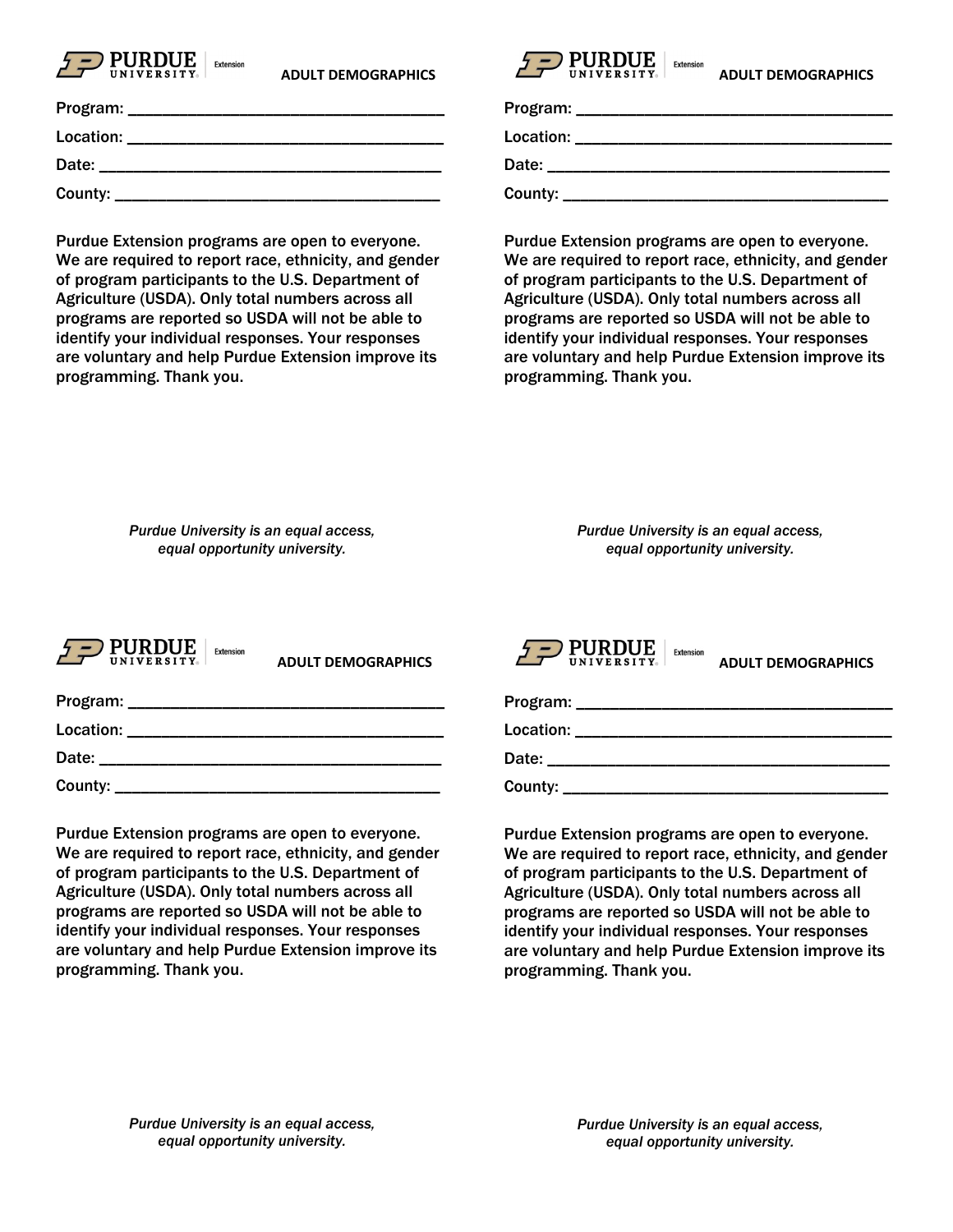

| Program:  |  |
|-----------|--|
| Location: |  |
| Date:     |  |
| County:   |  |

Purdue Extension programs are open to everyone. We are required to report race, ethnicity, and gender of program participants to the U.S. Department of Agriculture (USDA). Only total numbers across all programs are reported so USDA will not be able to identify your individual responses. Your responses are voluntary and help Purdue Extension improve its programming. Thank you.



| Program:  |  |
|-----------|--|
| Location: |  |
| Date:     |  |
| County:   |  |

Purdue Extension programs are open to everyone. We are required to report race, ethnicity, and gender of program participants to the U.S. Department of Agriculture (USDA). Only total numbers across all programs are reported so USDA will not be able to identify your individual responses. Your responses are voluntary and help Purdue Extension improve its programming. Thank you.

*Purdue University is an equal access, equal opportunity university.*

*Purdue University is an equal access, equal opportunity university.*



County:

 **ADULT DEMOGRAPHICS** 

| Program:  |  |
|-----------|--|
| Location: |  |
| Date:     |  |

Purdue Extension programs are open to everyone. We are required to report race, ethnicity, and gender of program participants to the U.S. Department of Agriculture (USDA). Only total numbers across all programs are reported so USDA will not be able to identify your individual responses. Your responses are voluntary and help Purdue Extension improve its programming. Thank you.

 $\underset{\text{UNIVERSITYs}}{\text{PURDUE}} \Big | \text{ Extension}$ **ADULT DEMOGRAPHICS** Program: \_\_\_\_\_\_\_\_\_\_\_\_\_\_\_\_\_\_\_\_\_\_\_\_\_\_\_\_\_\_\_\_\_\_\_\_\_ Location: \_\_\_\_\_\_\_\_\_\_\_\_\_\_\_\_\_\_\_\_\_\_\_\_\_\_\_\_\_\_\_\_\_\_\_\_\_ Date: \_\_\_\_\_\_\_\_\_\_\_\_\_\_\_\_\_\_\_\_\_\_\_\_\_\_\_\_\_\_\_\_\_\_\_\_\_\_\_\_  $County: \_\_$ 

Purdue Extension programs are open to everyone. We are required to report race, ethnicity, and gender of program participants to the U.S. Department of Agriculture (USDA). Only total numbers across all programs are reported so USDA will not be able to identify your individual responses. Your responses are voluntary and help Purdue Extension improve its programming. Thank you.